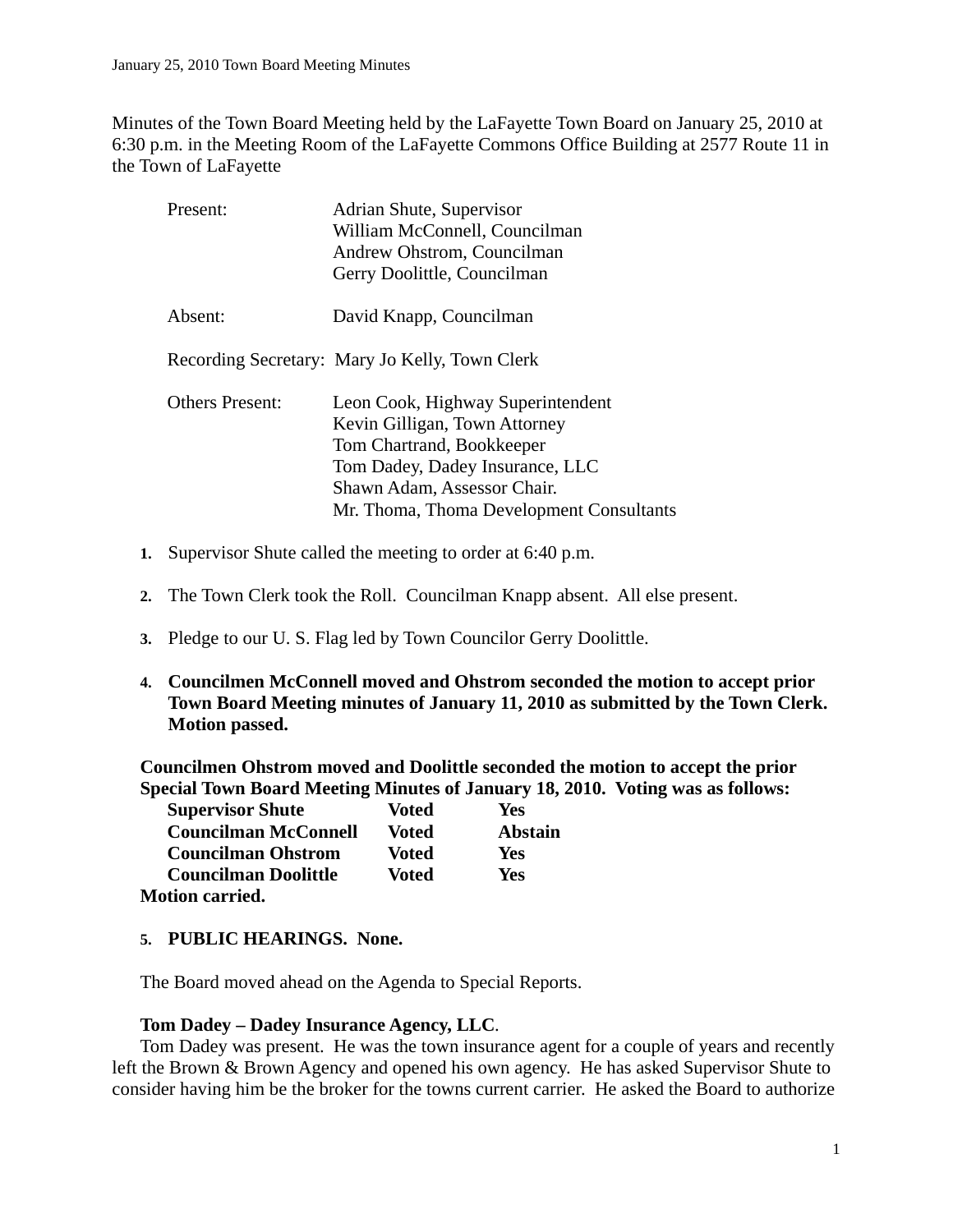Minutes of the Town Board Meeting held by the LaFayette Town Board on January 25, 2010 at 6:30 p.m. in the Meeting Room of the LaFayette Commons Office Building at 2577 Route 11 in the Town of LaFayette

| Present:               | Adrian Shute, Supervisor                       |
|------------------------|------------------------------------------------|
|                        | William McConnell, Councilman                  |
|                        | Andrew Ohstrom, Councilman                     |
|                        | Gerry Doolittle, Councilman                    |
| Absent:                | David Knapp, Councilman                        |
|                        | Recording Secretary: Mary Jo Kelly, Town Clerk |
| <b>Others Present:</b> | Leon Cook, Highway Superintendent              |
|                        | Kevin Gilligan, Town Attorney                  |
|                        | Tom Chartrand, Bookkeeper                      |
|                        | Tom Dadey, Dadey Insurance, LLC                |
|                        | Shawn Adam, Assessor Chair.                    |
|                        | Mr. Thoma, Thoma Development Consultants       |

- **1.** Supervisor Shute called the meeting to order at 6:40 p.m.
- **2.** The Town Clerk took the Roll. Councilman Knapp absent. All else present.
- **3.** Pledge to our U. S. Flag led by Town Councilor Gerry Doolittle.
- **4. Councilmen McConnell moved and Ohstrom seconded the motion to accept prior Town Board Meeting minutes of January 11, 2010 as submitted by the Town Clerk. Motion passed.**

**Councilmen Ohstrom moved and Doolittle seconded the motion to accept the prior Special Town Board Meeting Minutes of January 18, 2010. Voting was as follows:**

| <b>Supervisor Shute</b>     | Voted | Yes            |
|-----------------------------|-------|----------------|
| <b>Councilman McConnell</b> | Voted | <b>Abstain</b> |
| <b>Councilman Ohstrom</b>   | Voted | Yes            |
| <b>Councilman Doolittle</b> | Voted | Yes            |
| <b>Motion carried.</b>      |       |                |

**5. PUBLIC HEARINGS. None.** 

The Board moved ahead on the Agenda to Special Reports.

#### **Tom Dadey – Dadey Insurance Agency, LLC**.

Tom Dadey was present. He was the town insurance agent for a couple of years and recently left the Brown & Brown Agency and opened his own agency. He has asked Supervisor Shute to consider having him be the broker for the towns current carrier. He asked the Board to authorize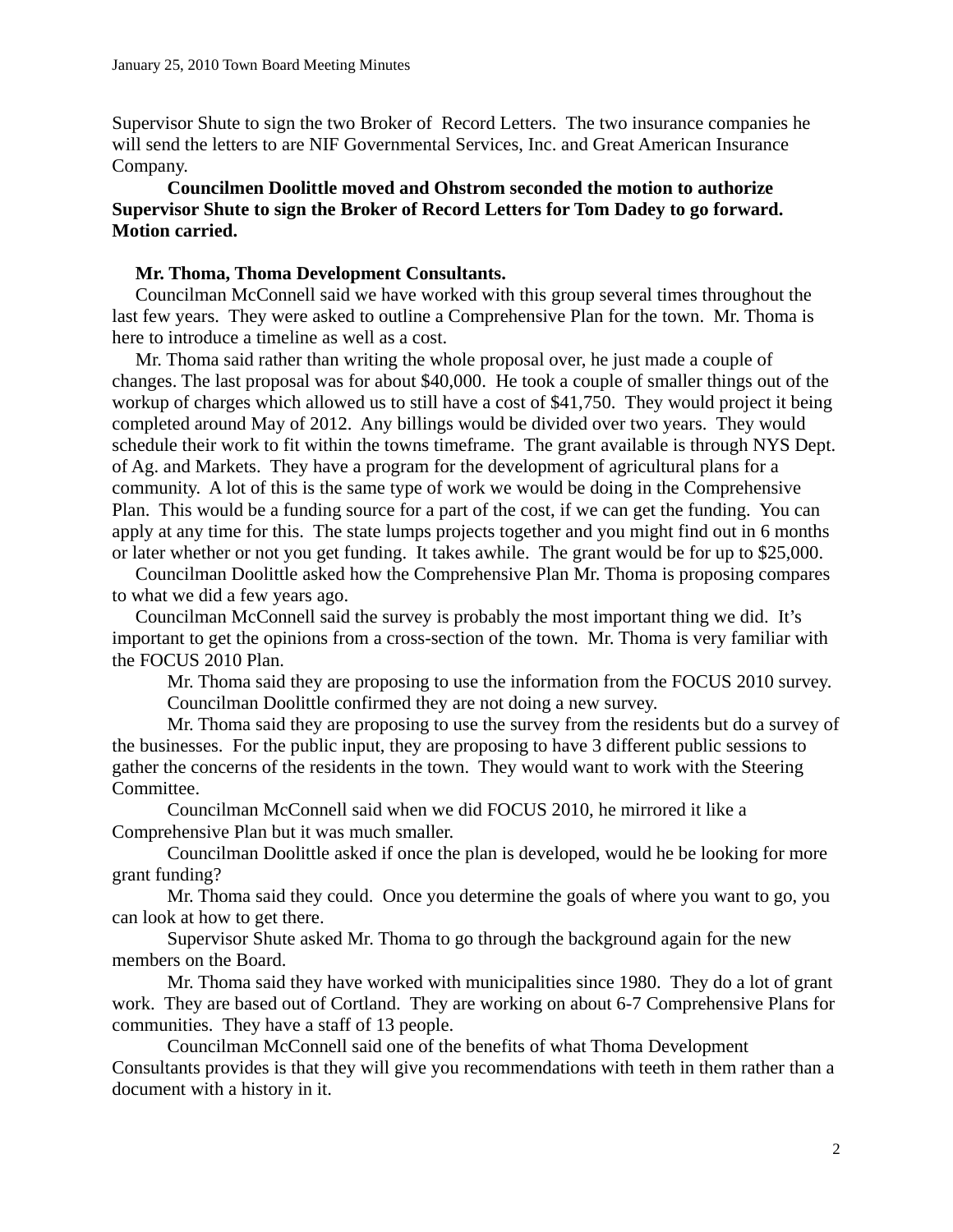Supervisor Shute to sign the two Broker of Record Letters. The two insurance companies he will send the letters to are NIF Governmental Services, Inc. and Great American Insurance Company.

### **Councilmen Doolittle moved and Ohstrom seconded the motion to authorize Supervisor Shute to sign the Broker of Record Letters for Tom Dadey to go forward. Motion carried.**

#### **Mr. Thoma, Thoma Development Consultants.**

 Councilman McConnell said we have worked with this group several times throughout the last few years. They were asked to outline a Comprehensive Plan for the town. Mr. Thoma is here to introduce a timeline as well as a cost.

 Mr. Thoma said rather than writing the whole proposal over, he just made a couple of changes. The last proposal was for about \$40,000. He took a couple of smaller things out of the workup of charges which allowed us to still have a cost of \$41,750. They would project it being completed around May of 2012. Any billings would be divided over two years. They would schedule their work to fit within the towns timeframe. The grant available is through NYS Dept. of Ag. and Markets. They have a program for the development of agricultural plans for a community. A lot of this is the same type of work we would be doing in the Comprehensive Plan. This would be a funding source for a part of the cost, if we can get the funding. You can apply at any time for this. The state lumps projects together and you might find out in 6 months or later whether or not you get funding. It takes awhile. The grant would be for up to \$25,000.

 Councilman Doolittle asked how the Comprehensive Plan Mr. Thoma is proposing compares to what we did a few years ago.

 Councilman McConnell said the survey is probably the most important thing we did. It's important to get the opinions from a cross-section of the town. Mr. Thoma is very familiar with the FOCUS 2010 Plan.

Mr. Thoma said they are proposing to use the information from the FOCUS 2010 survey. Councilman Doolittle confirmed they are not doing a new survey.

Mr. Thoma said they are proposing to use the survey from the residents but do a survey of the businesses. For the public input, they are proposing to have 3 different public sessions to gather the concerns of the residents in the town. They would want to work with the Steering Committee.

Councilman McConnell said when we did FOCUS 2010, he mirrored it like a Comprehensive Plan but it was much smaller.

Councilman Doolittle asked if once the plan is developed, would he be looking for more grant funding?

Mr. Thoma said they could. Once you determine the goals of where you want to go, you can look at how to get there.

Supervisor Shute asked Mr. Thoma to go through the background again for the new members on the Board.

Mr. Thoma said they have worked with municipalities since 1980. They do a lot of grant work. They are based out of Cortland. They are working on about 6-7 Comprehensive Plans for communities. They have a staff of 13 people.

Councilman McConnell said one of the benefits of what Thoma Development Consultants provides is that they will give you recommendations with teeth in them rather than a document with a history in it.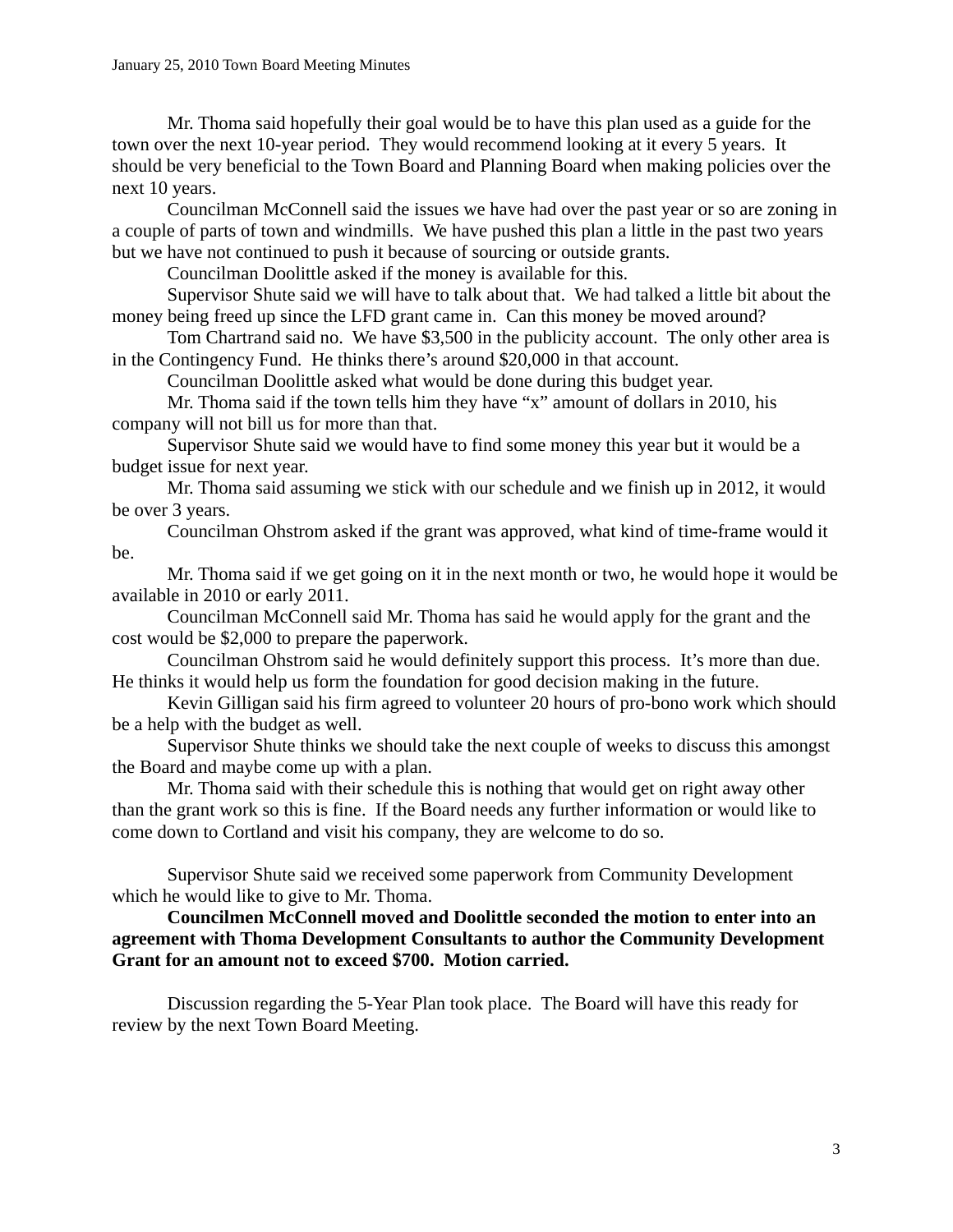Mr. Thoma said hopefully their goal would be to have this plan used as a guide for the town over the next 10-year period. They would recommend looking at it every 5 years. It should be very beneficial to the Town Board and Planning Board when making policies over the next 10 years.

Councilman McConnell said the issues we have had over the past year or so are zoning in a couple of parts of town and windmills. We have pushed this plan a little in the past two years but we have not continued to push it because of sourcing or outside grants.

Councilman Doolittle asked if the money is available for this.

Supervisor Shute said we will have to talk about that. We had talked a little bit about the money being freed up since the LFD grant came in. Can this money be moved around?

Tom Chartrand said no. We have \$3,500 in the publicity account. The only other area is in the Contingency Fund. He thinks there's around \$20,000 in that account.

Councilman Doolittle asked what would be done during this budget year.

Mr. Thoma said if the town tells him they have "x" amount of dollars in 2010, his company will not bill us for more than that.

Supervisor Shute said we would have to find some money this year but it would be a budget issue for next year.

Mr. Thoma said assuming we stick with our schedule and we finish up in 2012, it would be over 3 years.

Councilman Ohstrom asked if the grant was approved, what kind of time-frame would it be.

Mr. Thoma said if we get going on it in the next month or two, he would hope it would be available in 2010 or early 2011.

Councilman McConnell said Mr. Thoma has said he would apply for the grant and the cost would be \$2,000 to prepare the paperwork.

Councilman Ohstrom said he would definitely support this process. It's more than due. He thinks it would help us form the foundation for good decision making in the future.

Kevin Gilligan said his firm agreed to volunteer 20 hours of pro-bono work which should be a help with the budget as well.

Supervisor Shute thinks we should take the next couple of weeks to discuss this amongst the Board and maybe come up with a plan.

Mr. Thoma said with their schedule this is nothing that would get on right away other than the grant work so this is fine. If the Board needs any further information or would like to come down to Cortland and visit his company, they are welcome to do so.

Supervisor Shute said we received some paperwork from Community Development which he would like to give to Mr. Thoma.

## **Councilmen McConnell moved and Doolittle seconded the motion to enter into an agreement with Thoma Development Consultants to author the Community Development Grant for an amount not to exceed \$700. Motion carried.**

Discussion regarding the 5-Year Plan took place. The Board will have this ready for review by the next Town Board Meeting.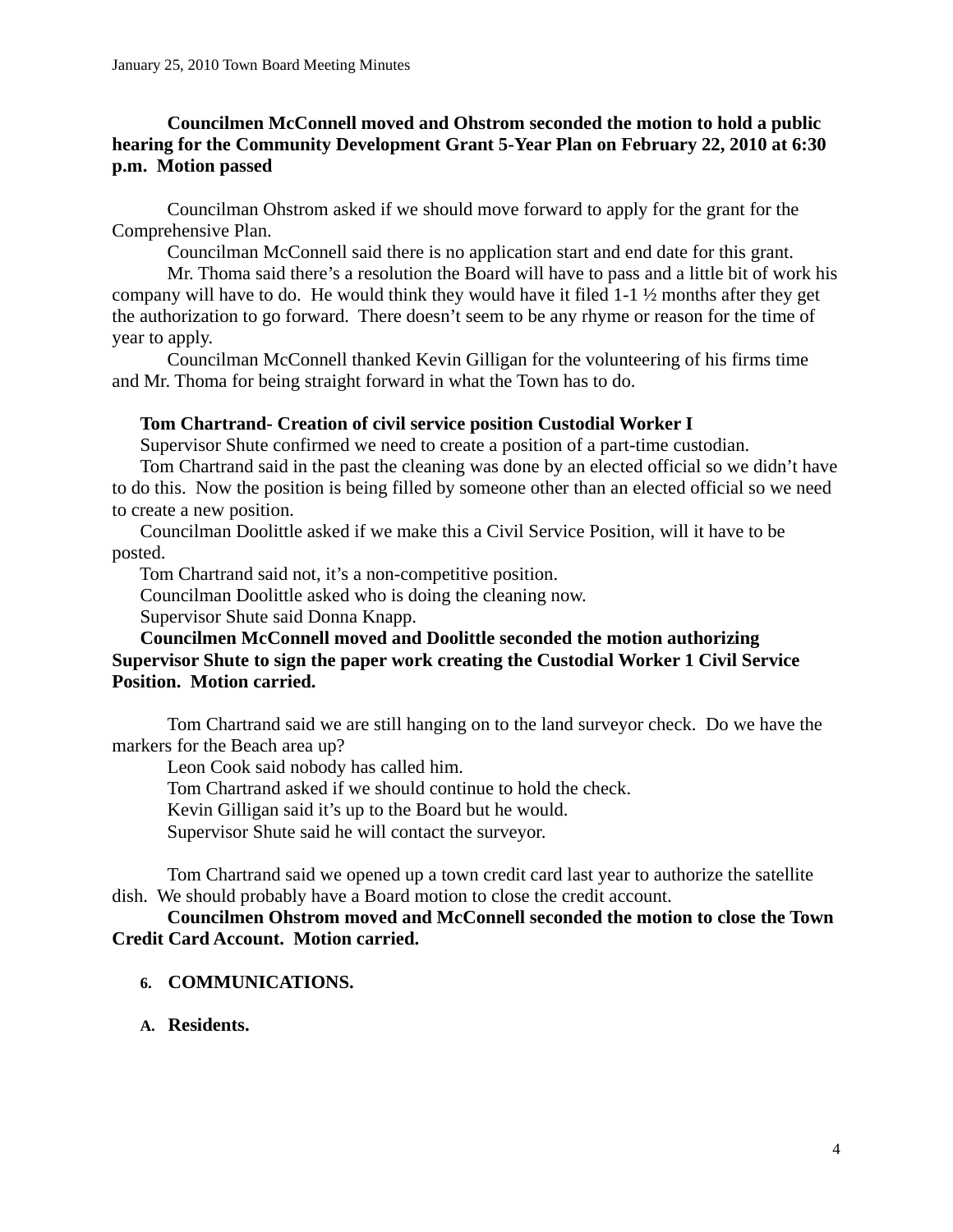# **Councilmen McConnell moved and Ohstrom seconded the motion to hold a public hearing for the Community Development Grant 5-Year Plan on February 22, 2010 at 6:30 p.m. Motion passed**

Councilman Ohstrom asked if we should move forward to apply for the grant for the Comprehensive Plan.

Councilman McConnell said there is no application start and end date for this grant.

Mr. Thoma said there's a resolution the Board will have to pass and a little bit of work his company will have to do. He would think they would have it filed 1-1 ½ months after they get the authorization to go forward. There doesn't seem to be any rhyme or reason for the time of year to apply.

Councilman McConnell thanked Kevin Gilligan for the volunteering of his firms time and Mr. Thoma for being straight forward in what the Town has to do.

## **Tom Chartrand- Creation of civil service position Custodial Worker I**

Supervisor Shute confirmed we need to create a position of a part-time custodian.

Tom Chartrand said in the past the cleaning was done by an elected official so we didn't have to do this. Now the position is being filled by someone other than an elected official so we need to create a new position.

 Councilman Doolittle asked if we make this a Civil Service Position, will it have to be posted.

Tom Chartrand said not, it's a non-competitive position.

Councilman Doolittle asked who is doing the cleaning now.

Supervisor Shute said Donna Knapp.

## **Councilmen McConnell moved and Doolittle seconded the motion authorizing Supervisor Shute to sign the paper work creating the Custodial Worker 1 Civil Service Position. Motion carried.**

Tom Chartrand said we are still hanging on to the land surveyor check. Do we have the markers for the Beach area up?

Leon Cook said nobody has called him.

Tom Chartrand asked if we should continue to hold the check.

Kevin Gilligan said it's up to the Board but he would.

Supervisor Shute said he will contact the surveyor.

Tom Chartrand said we opened up a town credit card last year to authorize the satellite dish. We should probably have a Board motion to close the credit account.

### **Councilmen Ohstrom moved and McConnell seconded the motion to close the Town Credit Card Account. Motion carried.**

- **6. COMMUNICATIONS.**
- **A. Residents.**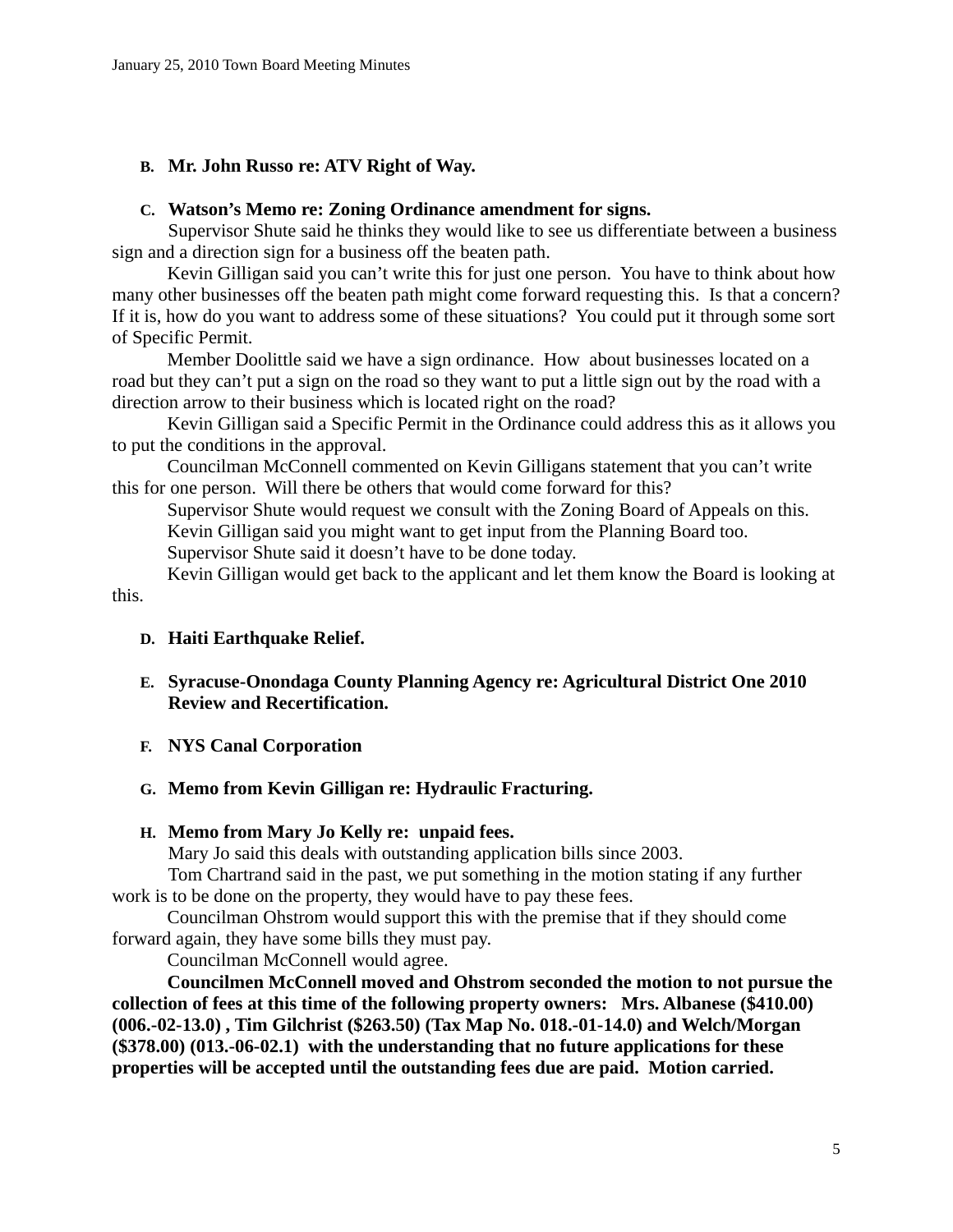## **B. Mr. John Russo re: ATV Right of Way.**

#### **C. Watson's Memo re: Zoning Ordinance amendment for signs.**

Supervisor Shute said he thinks they would like to see us differentiate between a business sign and a direction sign for a business off the beaten path.

Kevin Gilligan said you can't write this for just one person. You have to think about how many other businesses off the beaten path might come forward requesting this. Is that a concern? If it is, how do you want to address some of these situations? You could put it through some sort of Specific Permit.

Member Doolittle said we have a sign ordinance. How about businesses located on a road but they can't put a sign on the road so they want to put a little sign out by the road with a direction arrow to their business which is located right on the road?

Kevin Gilligan said a Specific Permit in the Ordinance could address this as it allows you to put the conditions in the approval.

Councilman McConnell commented on Kevin Gilligans statement that you can't write this for one person. Will there be others that would come forward for this?

Supervisor Shute would request we consult with the Zoning Board of Appeals on this. Kevin Gilligan said you might want to get input from the Planning Board too. Supervisor Shute said it doesn't have to be done today.

Kevin Gilligan would get back to the applicant and let them know the Board is looking at this.

### **D. Haiti Earthquake Relief.**

- **E. Syracuse-Onondaga County Planning Agency re: Agricultural District One 2010 Review and Recertification.**
- **F. NYS Canal Corporation**

### **G. Memo from Kevin Gilligan re: Hydraulic Fracturing.**

### **H. Memo from Mary Jo Kelly re: unpaid fees.**

Mary Jo said this deals with outstanding application bills since 2003.

Tom Chartrand said in the past, we put something in the motion stating if any further work is to be done on the property, they would have to pay these fees.

Councilman Ohstrom would support this with the premise that if they should come forward again, they have some bills they must pay.

Councilman McConnell would agree.

**Councilmen McConnell moved and Ohstrom seconded the motion to not pursue the collection of fees at this time of the following property owners: Mrs. Albanese (\$410.00) (006.-02-13.0) , Tim Gilchrist (\$263.50) (Tax Map No. 018.-01-14.0) and Welch/Morgan (\$378.00) (013.-06-02.1) with the understanding that no future applications for these properties will be accepted until the outstanding fees due are paid. Motion carried.**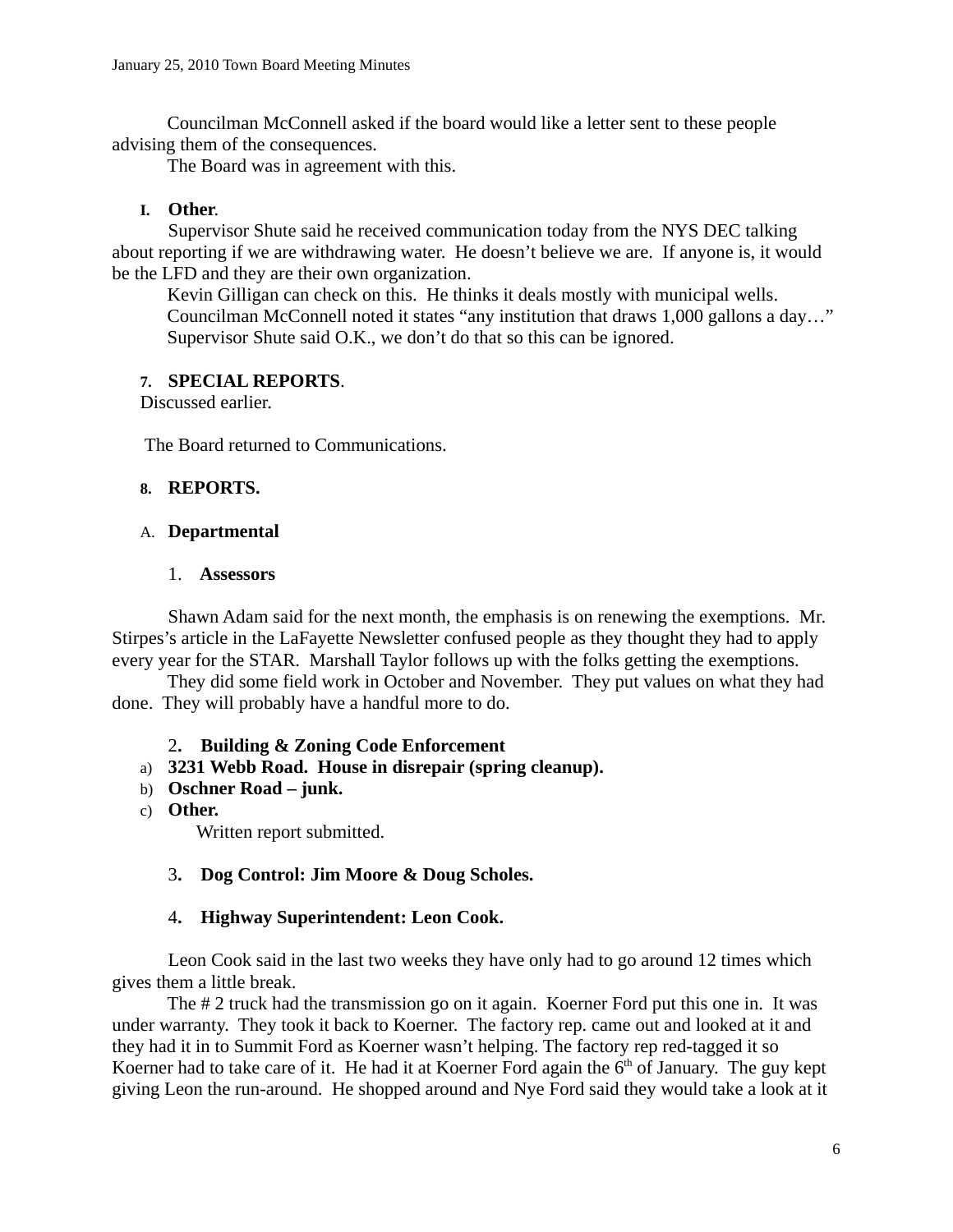Councilman McConnell asked if the board would like a letter sent to these people advising them of the consequences.

The Board was in agreement with this.

### **I. Other**.

Supervisor Shute said he received communication today from the NYS DEC talking about reporting if we are withdrawing water. He doesn't believe we are. If anyone is, it would be the LFD and they are their own organization.

Kevin Gilligan can check on this. He thinks it deals mostly with municipal wells. Councilman McConnell noted it states "any institution that draws 1,000 gallons a day…" Supervisor Shute said O.K., we don't do that so this can be ignored.

## **7. SPECIAL REPORTS**.

Discussed earlier.

The Board returned to Communications.

### **8. REPORTS.**

### A. **Departmental**

#### 1. **Assessors**

Shawn Adam said for the next month, the emphasis is on renewing the exemptions. Mr. Stirpes's article in the LaFayette Newsletter confused people as they thought they had to apply every year for the STAR. Marshall Taylor follows up with the folks getting the exemptions.

They did some field work in October and November. They put values on what they had done. They will probably have a handful more to do.

### 2**. Building & Zoning Code Enforcement**

- a) **3231 Webb Road. House in disrepair (spring cleanup).**
- b) **Oschner Road junk.**
- c) **Other.**

Written report submitted.

### 3**. Dog Control: Jim Moore & Doug Scholes.**

### 4**. Highway Superintendent: Leon Cook.**

Leon Cook said in the last two weeks they have only had to go around 12 times which gives them a little break.

The # 2 truck had the transmission go on it again. Koerner Ford put this one in. It was under warranty. They took it back to Koerner. The factory rep. came out and looked at it and they had it in to Summit Ford as Koerner wasn't helping. The factory rep red-tagged it so Koerner had to take care of it. He had it at Koerner Ford again the  $6<sup>th</sup>$  of January. The guy kept giving Leon the run-around. He shopped around and Nye Ford said they would take a look at it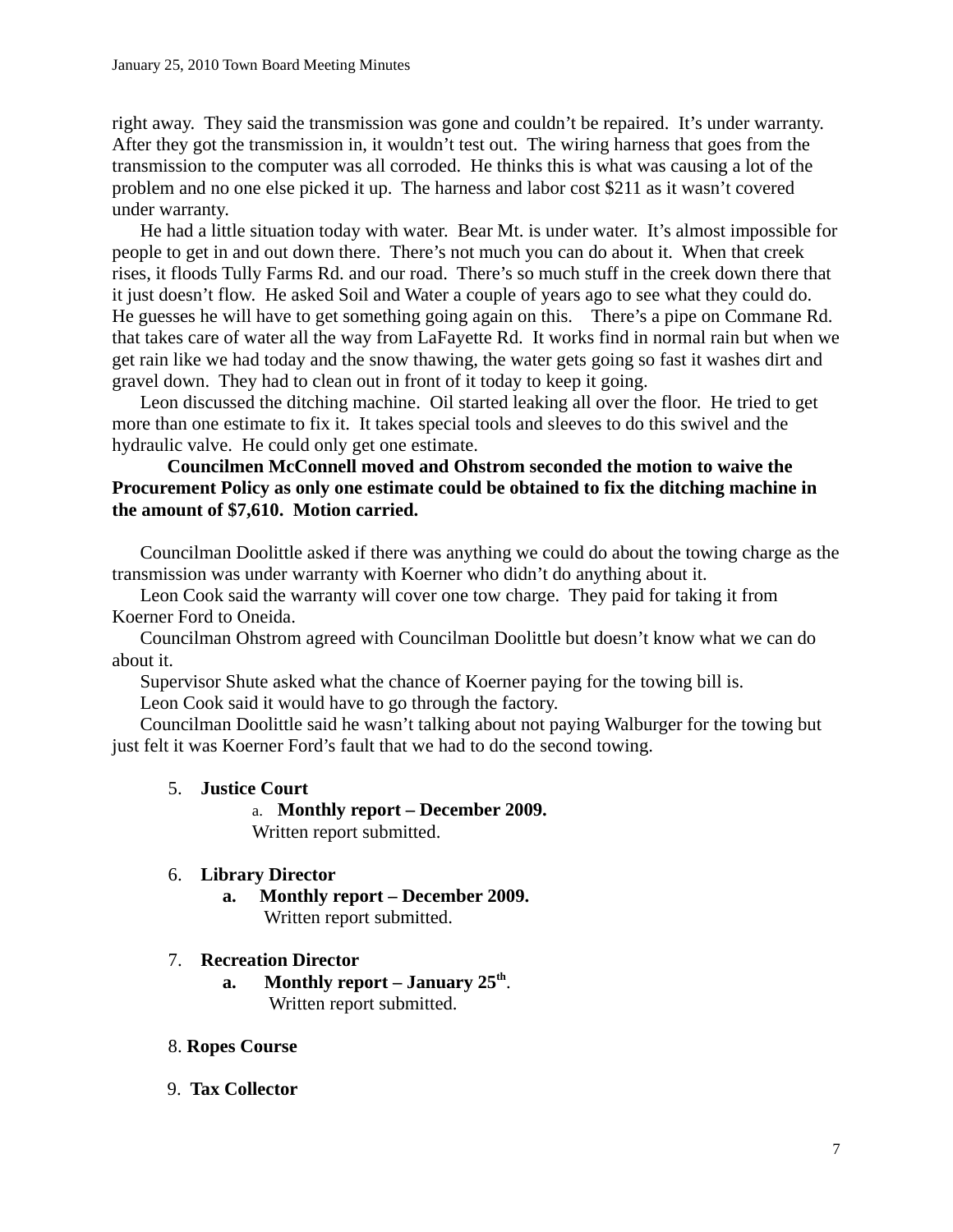right away. They said the transmission was gone and couldn't be repaired. It's under warranty. After they got the transmission in, it wouldn't test out. The wiring harness that goes from the transmission to the computer was all corroded. He thinks this is what was causing a lot of the problem and no one else picked it up. The harness and labor cost \$211 as it wasn't covered under warranty.

He had a little situation today with water. Bear Mt. is under water. It's almost impossible for people to get in and out down there. There's not much you can do about it. When that creek rises, it floods Tully Farms Rd. and our road. There's so much stuff in the creek down there that it just doesn't flow. He asked Soil and Water a couple of years ago to see what they could do. He guesses he will have to get something going again on this. There's a pipe on Commane Rd. that takes care of water all the way from LaFayette Rd. It works find in normal rain but when we get rain like we had today and the snow thawing, the water gets going so fast it washes dirt and gravel down. They had to clean out in front of it today to keep it going.

Leon discussed the ditching machine. Oil started leaking all over the floor. He tried to get more than one estimate to fix it. It takes special tools and sleeves to do this swivel and the hydraulic valve. He could only get one estimate.

## **Councilmen McConnell moved and Ohstrom seconded the motion to waive the Procurement Policy as only one estimate could be obtained to fix the ditching machine in the amount of \$7,610. Motion carried.**

Councilman Doolittle asked if there was anything we could do about the towing charge as the transmission was under warranty with Koerner who didn't do anything about it.

Leon Cook said the warranty will cover one tow charge. They paid for taking it from Koerner Ford to Oneida.

Councilman Ohstrom agreed with Councilman Doolittle but doesn't know what we can do about it.

Supervisor Shute asked what the chance of Koerner paying for the towing bill is.

Leon Cook said it would have to go through the factory.

Councilman Doolittle said he wasn't talking about not paying Walburger for the towing but just felt it was Koerner Ford's fault that we had to do the second towing.

# 5. **Justice Court**

a. **Monthly report – December 2009.**  Written report submitted.

# 6. **Library Director**

**a. Monthly report – December 2009.** Written report submitted.

### 7. **Recreation Director**

**a. Monthly report – January 25th**. Written report submitted.

### 8. **Ropes Course**

9. **Tax Collector**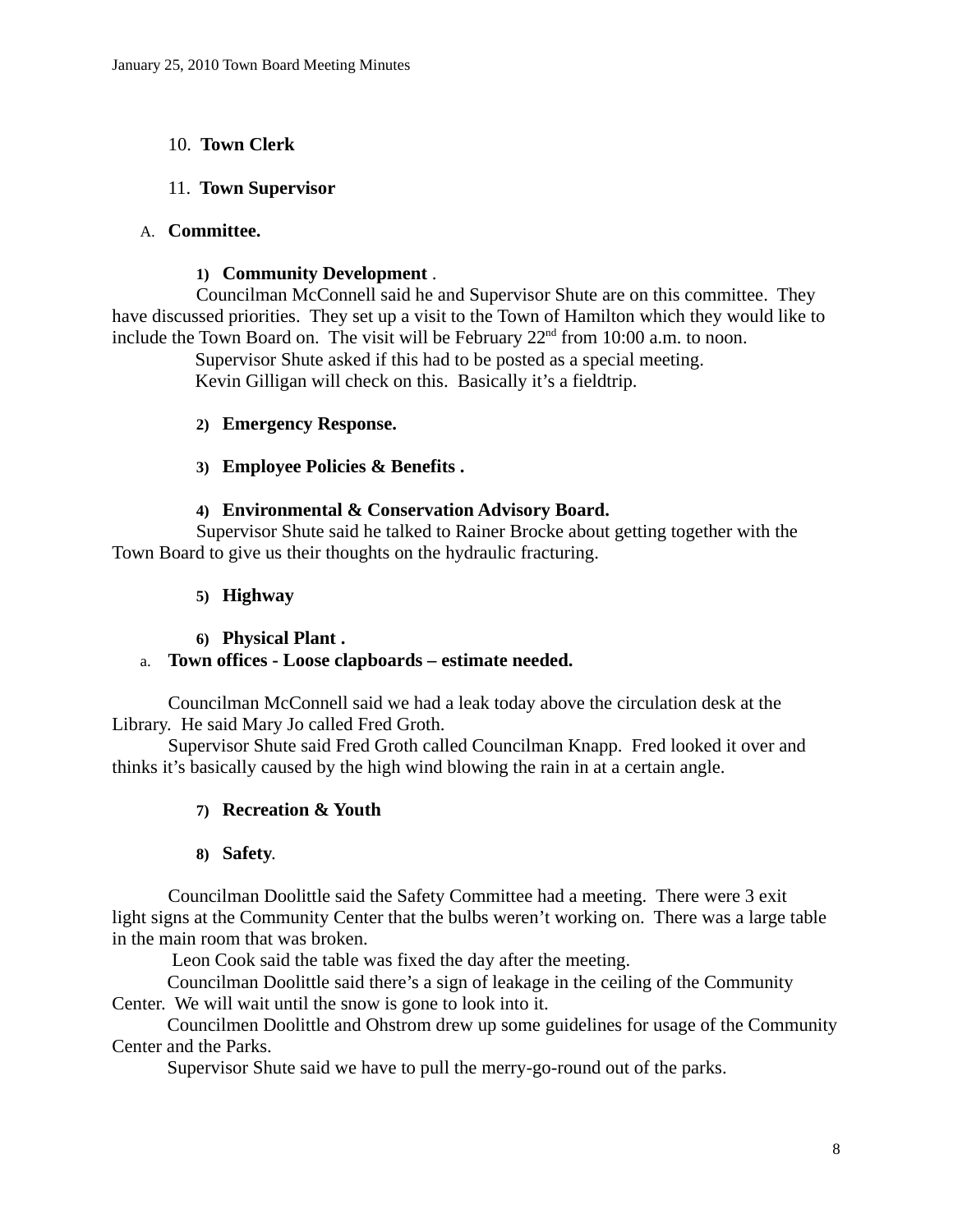## 10. **Town Clerk**

### 11. **Town Supervisor**

### A. **Committee.**

### **1) Community Development** .

Councilman McConnell said he and Supervisor Shute are on this committee. They have discussed priorities. They set up a visit to the Town of Hamilton which they would like to include the Town Board on. The visit will be February  $22<sup>nd</sup>$  from 10:00 a.m. to noon.

 Supervisor Shute asked if this had to be posted as a special meeting. Kevin Gilligan will check on this. Basically it's a fieldtrip.

## **2) Emergency Response.**

## **3) Employee Policies & Benefits .**

## **4) Environmental & Conservation Advisory Board.**

Supervisor Shute said he talked to Rainer Brocke about getting together with the Town Board to give us their thoughts on the hydraulic fracturing.

### **5) Highway**

### **6) Physical Plant .**

### a. **Town offices - Loose clapboards – estimate needed.**

Councilman McConnell said we had a leak today above the circulation desk at the Library. He said Mary Jo called Fred Groth.

Supervisor Shute said Fred Groth called Councilman Knapp. Fred looked it over and thinks it's basically caused by the high wind blowing the rain in at a certain angle.

# **7) Recreation & Youth**

### **8) Safety**.

Councilman Doolittle said the Safety Committee had a meeting. There were 3 exit light signs at the Community Center that the bulbs weren't working on. There was a large table in the main room that was broken.

Leon Cook said the table was fixed the day after the meeting.

Councilman Doolittle said there's a sign of leakage in the ceiling of the Community Center. We will wait until the snow is gone to look into it.

Councilmen Doolittle and Ohstrom drew up some guidelines for usage of the Community Center and the Parks.

Supervisor Shute said we have to pull the merry-go-round out of the parks.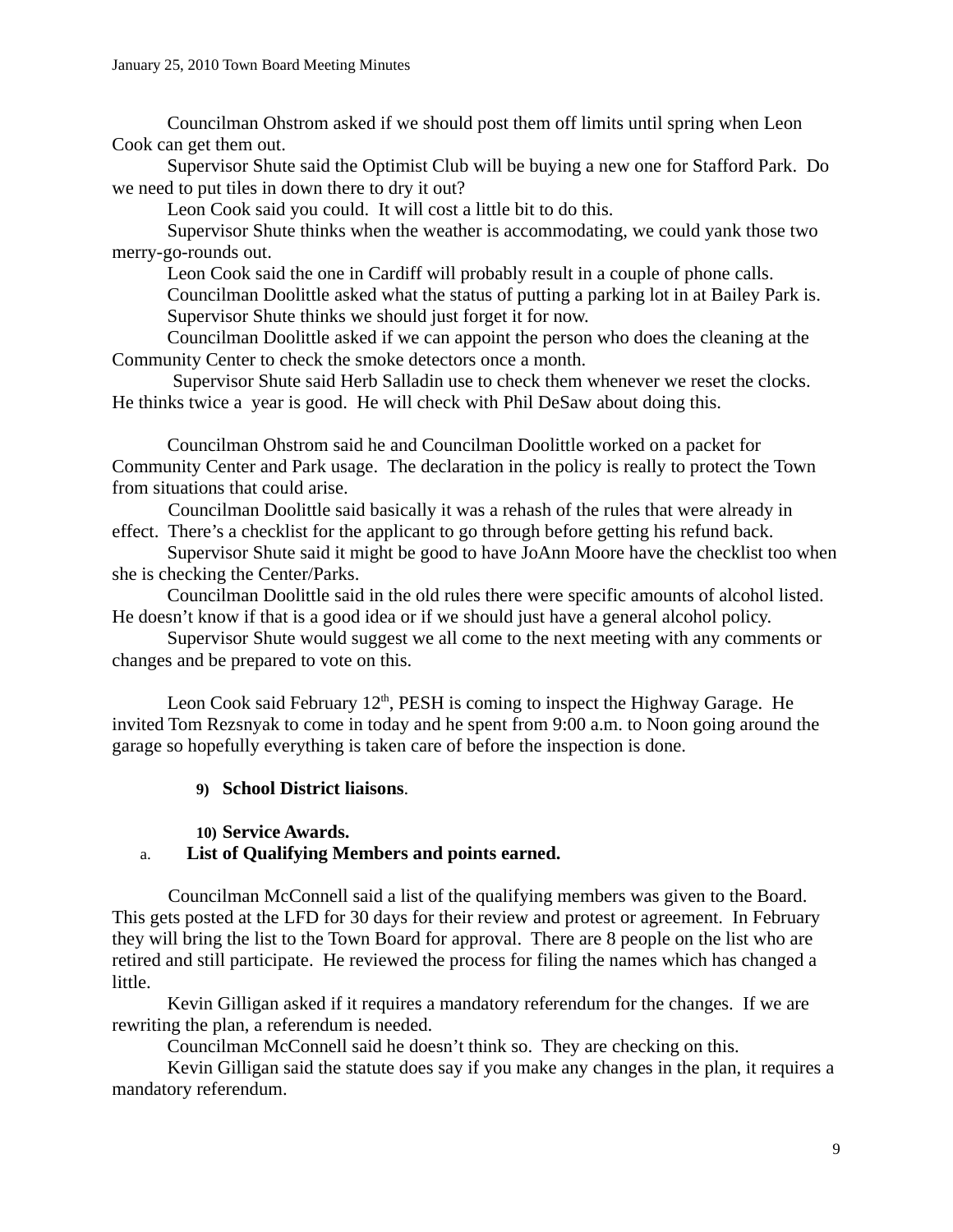Councilman Ohstrom asked if we should post them off limits until spring when Leon Cook can get them out.

Supervisor Shute said the Optimist Club will be buying a new one for Stafford Park. Do we need to put tiles in down there to dry it out?

Leon Cook said you could. It will cost a little bit to do this.

Supervisor Shute thinks when the weather is accommodating, we could yank those two merry-go-rounds out.

Leon Cook said the one in Cardiff will probably result in a couple of phone calls.

Councilman Doolittle asked what the status of putting a parking lot in at Bailey Park is. Supervisor Shute thinks we should just forget it for now.

Councilman Doolittle asked if we can appoint the person who does the cleaning at the Community Center to check the smoke detectors once a month.

 Supervisor Shute said Herb Salladin use to check them whenever we reset the clocks. He thinks twice a year is good. He will check with Phil DeSaw about doing this.

Councilman Ohstrom said he and Councilman Doolittle worked on a packet for Community Center and Park usage. The declaration in the policy is really to protect the Town from situations that could arise.

Councilman Doolittle said basically it was a rehash of the rules that were already in effect. There's a checklist for the applicant to go through before getting his refund back.

Supervisor Shute said it might be good to have JoAnn Moore have the checklist too when she is checking the Center/Parks.

Councilman Doolittle said in the old rules there were specific amounts of alcohol listed. He doesn't know if that is a good idea or if we should just have a general alcohol policy.

Supervisor Shute would suggest we all come to the next meeting with any comments or changes and be prepared to vote on this.

Leon Cook said February  $12<sup>th</sup>$ , PESH is coming to inspect the Highway Garage. He invited Tom Rezsnyak to come in today and he spent from 9:00 a.m. to Noon going around the garage so hopefully everything is taken care of before the inspection is done.

# **9) School District liaisons**.

### **10) Service Awards.**

# a. **List of Qualifying Members and points earned.**

Councilman McConnell said a list of the qualifying members was given to the Board. This gets posted at the LFD for 30 days for their review and protest or agreement. In February they will bring the list to the Town Board for approval. There are 8 people on the list who are retired and still participate. He reviewed the process for filing the names which has changed a little.

Kevin Gilligan asked if it requires a mandatory referendum for the changes. If we are rewriting the plan, a referendum is needed.

Councilman McConnell said he doesn't think so. They are checking on this.

Kevin Gilligan said the statute does say if you make any changes in the plan, it requires a mandatory referendum.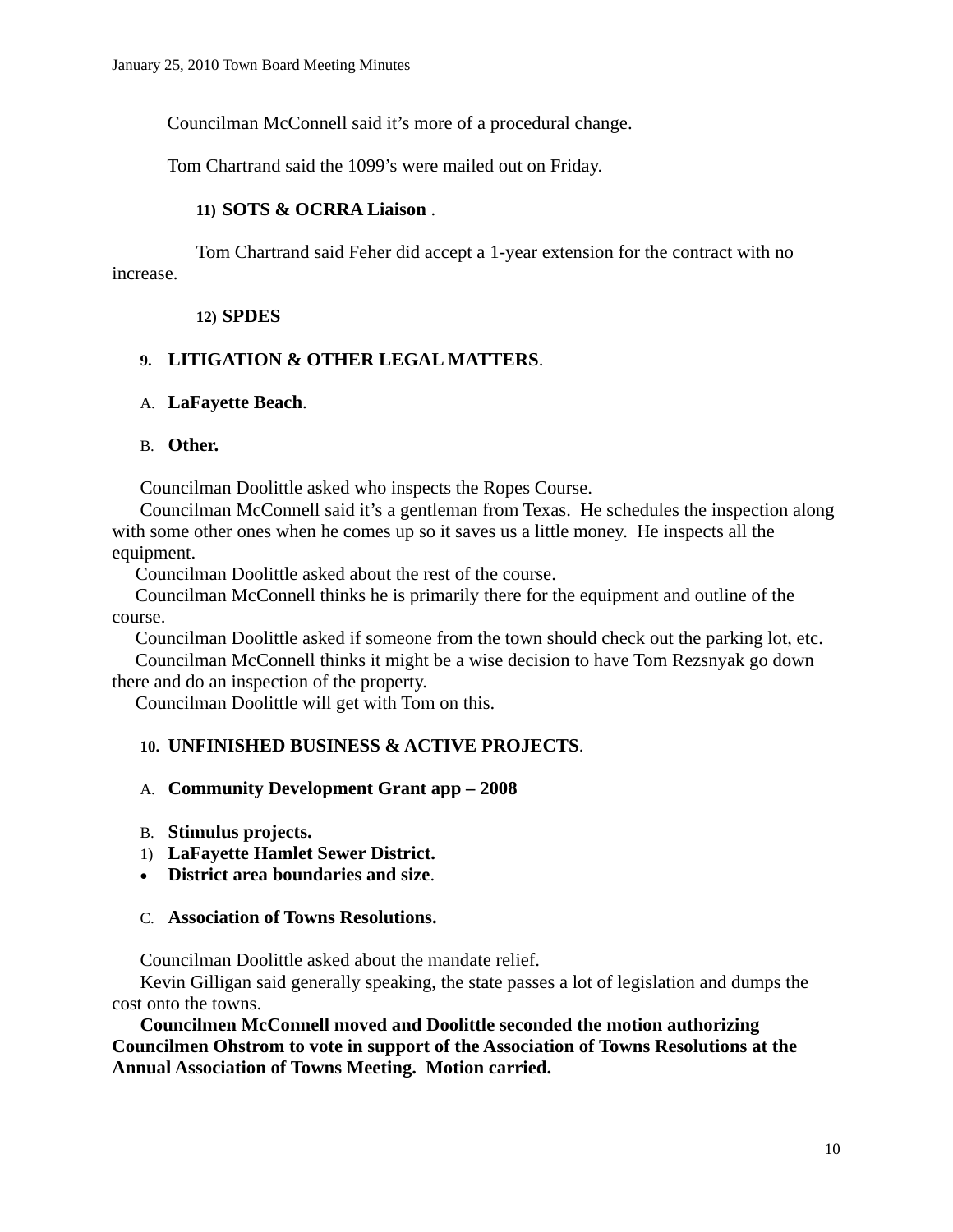Councilman McConnell said it's more of a procedural change.

Tom Chartrand said the 1099's were mailed out on Friday.

## **11) SOTS & OCRRA Liaison** .

Tom Chartrand said Feher did accept a 1-year extension for the contract with no increase.

### **12) SPDES**

# **9. LITIGATION & OTHER LEGAL MATTERS**.

## A. **LaFayette Beach**.

### B. **Other.**

Councilman Doolittle asked who inspects the Ropes Course.

Councilman McConnell said it's a gentleman from Texas. He schedules the inspection along with some other ones when he comes up so it saves us a little money. He inspects all the equipment.

Councilman Doolittle asked about the rest of the course.

 Councilman McConnell thinks he is primarily there for the equipment and outline of the course.

 Councilman Doolittle asked if someone from the town should check out the parking lot, etc. Councilman McConnell thinks it might be a wise decision to have Tom Rezsnyak go down there and do an inspection of the property.

Councilman Doolittle will get with Tom on this.

# **10. UNFINISHED BUSINESS & ACTIVE PROJECTS**.

### A. **Community Development Grant app – 2008**

- B. **Stimulus projects.**
- 1) **LaFayette Hamlet Sewer District.**
- **District area boundaries and size**.

### C. **Association of Towns Resolutions.**

Councilman Doolittle asked about the mandate relief.

Kevin Gilligan said generally speaking, the state passes a lot of legislation and dumps the cost onto the towns.

 **Councilmen McConnell moved and Doolittle seconded the motion authorizing Councilmen Ohstrom to vote in support of the Association of Towns Resolutions at the Annual Association of Towns Meeting. Motion carried.**